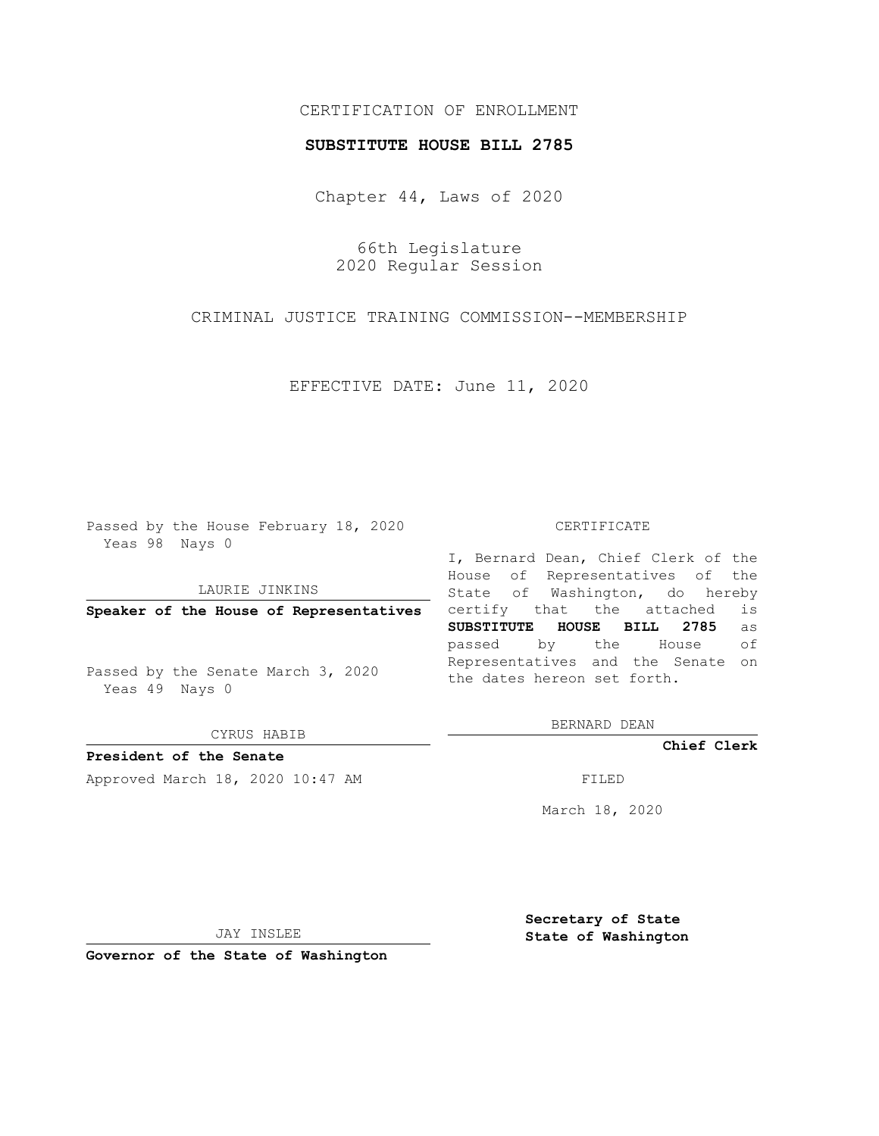## CERTIFICATION OF ENROLLMENT

## **SUBSTITUTE HOUSE BILL 2785**

Chapter 44, Laws of 2020

66th Legislature 2020 Regular Session

CRIMINAL JUSTICE TRAINING COMMISSION--MEMBERSHIP

EFFECTIVE DATE: June 11, 2020

Passed by the House February 18, 2020 Yeas 98 Nays 0

LAURIE JINKINS

**Speaker of the House of Representatives**

Passed by the Senate March 3, 2020 Yeas 49 Nays 0

CYRUS HABIB

**President of the Senate**

Approved March 18, 2020 10:47 AM FILED

## CERTIFICATE

I, Bernard Dean, Chief Clerk of the House of Representatives of the State of Washington, do hereby certify that the attached is **SUBSTITUTE HOUSE BILL 2785** as passed by the House of Representatives and the Senate on the dates hereon set forth.

BERNARD DEAN

**Chief Clerk**

March 18, 2020

JAY INSLEE

**Governor of the State of Washington**

**Secretary of State State of Washington**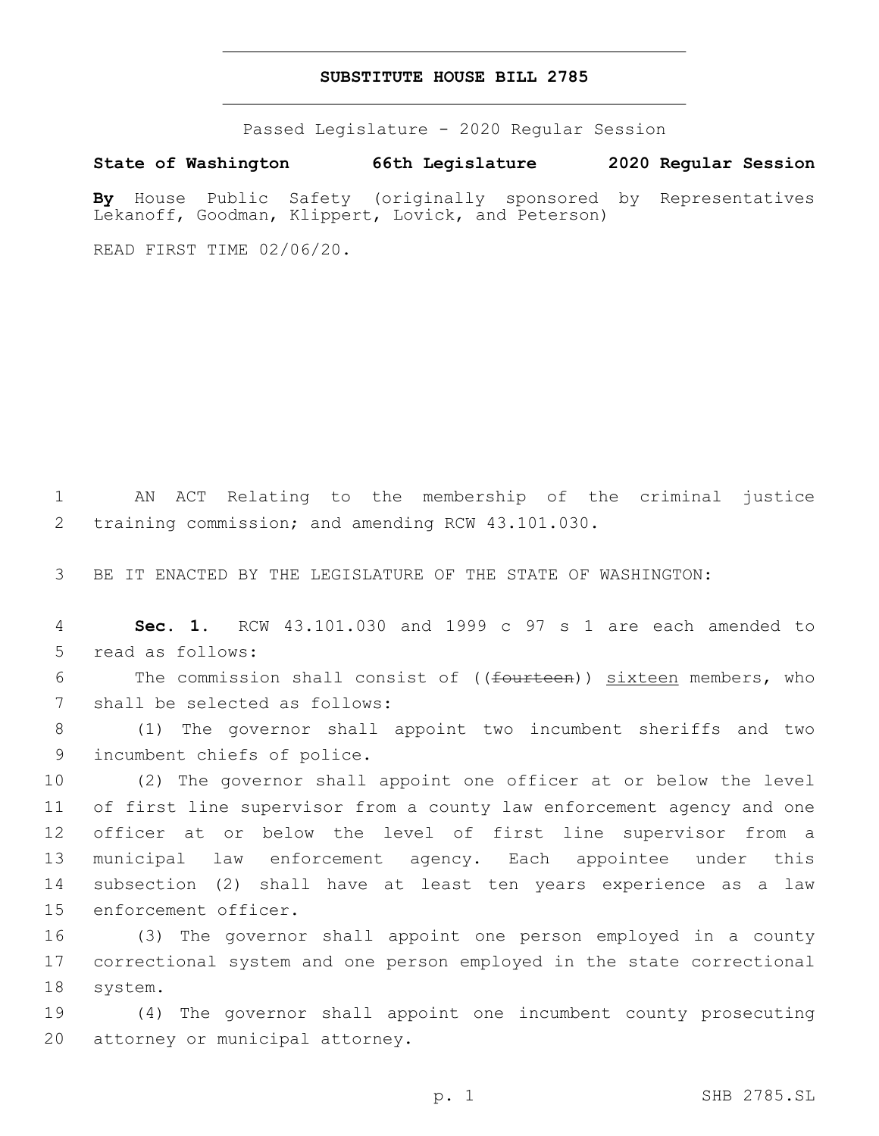## **SUBSTITUTE HOUSE BILL 2785**

Passed Legislature - 2020 Regular Session

**State of Washington 66th Legislature 2020 Regular Session**

**By** House Public Safety (originally sponsored by Representatives Lekanoff, Goodman, Klippert, Lovick, and Peterson)

READ FIRST TIME 02/06/20.

1 AN ACT Relating to the membership of the criminal justice 2 training commission; and amending RCW 43.101.030.

3 BE IT ENACTED BY THE LEGISLATURE OF THE STATE OF WASHINGTON:

4 **Sec. 1.** RCW 43.101.030 and 1999 c 97 s 1 are each amended to 5 read as follows:

6 The commission shall consist of ((fourteen)) sixteen members, who 7 shall be selected as follows:

8 (1) The governor shall appoint two incumbent sheriffs and two 9 incumbent chiefs of police.

 (2) The governor shall appoint one officer at or below the level of first line supervisor from a county law enforcement agency and one officer at or below the level of first line supervisor from a municipal law enforcement agency. Each appointee under this subsection (2) shall have at least ten years experience as a law 15 enforcement officer.

16 (3) The governor shall appoint one person employed in a county 17 correctional system and one person employed in the state correctional 18 system.

19 (4) The governor shall appoint one incumbent county prosecuting 20 attorney or municipal attorney.